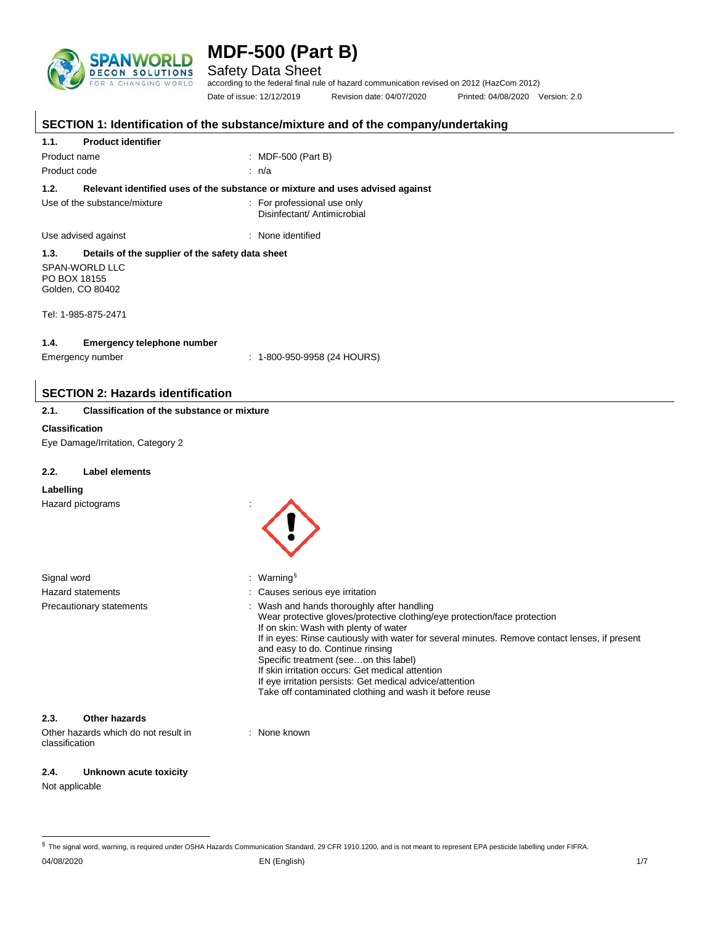

Safety Data Sheet

according to the federal final rule of hazard communication revised on 2012 (HazCom 2012) Date of issue: 12/12/2019 Revision date: 04/07/2020 Printed: 04/08/2020 Version: 2.0

|                                                        |                                                   | SECTION 1: Identification of the substance/mixture and of the company/undertaking                                                                                                                                                                                                                                                                                                                                                                                                                                        |  |  |
|--------------------------------------------------------|---------------------------------------------------|--------------------------------------------------------------------------------------------------------------------------------------------------------------------------------------------------------------------------------------------------------------------------------------------------------------------------------------------------------------------------------------------------------------------------------------------------------------------------------------------------------------------------|--|--|
| <b>Product identifier</b><br>1.1.                      |                                                   |                                                                                                                                                                                                                                                                                                                                                                                                                                                                                                                          |  |  |
| Product name                                           |                                                   | : MDF-500 (Part B)                                                                                                                                                                                                                                                                                                                                                                                                                                                                                                       |  |  |
| Product code                                           |                                                   | : n/a                                                                                                                                                                                                                                                                                                                                                                                                                                                                                                                    |  |  |
| 1.2.                                                   |                                                   | Relevant identified uses of the substance or mixture and uses advised against                                                                                                                                                                                                                                                                                                                                                                                                                                            |  |  |
| Use of the substance/mixture                           |                                                   | : For professional use only<br>Disinfectant/ Antimicrobial                                                                                                                                                                                                                                                                                                                                                                                                                                                               |  |  |
| Use advised against                                    |                                                   | : None identified                                                                                                                                                                                                                                                                                                                                                                                                                                                                                                        |  |  |
| 1.3.                                                   | Details of the supplier of the safety data sheet  |                                                                                                                                                                                                                                                                                                                                                                                                                                                                                                                          |  |  |
| SPAN-WORLD LLC<br>PO BOX 18155<br>Golden, CO 80402     |                                                   |                                                                                                                                                                                                                                                                                                                                                                                                                                                                                                                          |  |  |
| Tel: 1-985-875-2471                                    |                                                   |                                                                                                                                                                                                                                                                                                                                                                                                                                                                                                                          |  |  |
| 1.4.                                                   | <b>Emergency telephone number</b>                 |                                                                                                                                                                                                                                                                                                                                                                                                                                                                                                                          |  |  |
| Emergency number                                       |                                                   | $: 1-800-950-9958$ (24 HOURS)                                                                                                                                                                                                                                                                                                                                                                                                                                                                                            |  |  |
|                                                        |                                                   |                                                                                                                                                                                                                                                                                                                                                                                                                                                                                                                          |  |  |
|                                                        | <b>SECTION 2: Hazards identification</b>          |                                                                                                                                                                                                                                                                                                                                                                                                                                                                                                                          |  |  |
| 2.1.                                                   | <b>Classification of the substance or mixture</b> |                                                                                                                                                                                                                                                                                                                                                                                                                                                                                                                          |  |  |
| <b>Classification</b>                                  |                                                   |                                                                                                                                                                                                                                                                                                                                                                                                                                                                                                                          |  |  |
| Eye Damage/Irritation, Category 2                      |                                                   |                                                                                                                                                                                                                                                                                                                                                                                                                                                                                                                          |  |  |
| Label elements                                         |                                                   |                                                                                                                                                                                                                                                                                                                                                                                                                                                                                                                          |  |  |
| 2.2.                                                   |                                                   |                                                                                                                                                                                                                                                                                                                                                                                                                                                                                                                          |  |  |
| Labelling                                              |                                                   |                                                                                                                                                                                                                                                                                                                                                                                                                                                                                                                          |  |  |
| Hazard pictograms                                      |                                                   |                                                                                                                                                                                                                                                                                                                                                                                                                                                                                                                          |  |  |
|                                                        |                                                   |                                                                                                                                                                                                                                                                                                                                                                                                                                                                                                                          |  |  |
|                                                        |                                                   |                                                                                                                                                                                                                                                                                                                                                                                                                                                                                                                          |  |  |
|                                                        |                                                   |                                                                                                                                                                                                                                                                                                                                                                                                                                                                                                                          |  |  |
| Signal word                                            |                                                   | : Warning $\frac{1}{3}$                                                                                                                                                                                                                                                                                                                                                                                                                                                                                                  |  |  |
| Hazard statements                                      |                                                   | Causes serious eye irritation                                                                                                                                                                                                                                                                                                                                                                                                                                                                                            |  |  |
| Precautionary statements                               |                                                   | Wash and hands thoroughly after handling<br>Wear protective gloves/protective clothing/eye protection/face protection<br>If on skin: Wash with plenty of water<br>If in eyes: Rinse cautiously with water for several minutes. Remove contact lenses, if present<br>and easy to do. Continue rinsing<br>Specific treatment (seeon this label)<br>If skin irritation occurs: Get medical attention<br>If eye irritation persists: Get medical advice/attention<br>Take off contaminated clothing and wash it before reuse |  |  |
| 2.3.<br><b>Other hazards</b>                           |                                                   |                                                                                                                                                                                                                                                                                                                                                                                                                                                                                                                          |  |  |
| Other hazards which do not result in<br>classification |                                                   | : None known                                                                                                                                                                                                                                                                                                                                                                                                                                                                                                             |  |  |
| 2.4.                                                   | Unknown acute toxicity                            |                                                                                                                                                                                                                                                                                                                                                                                                                                                                                                                          |  |  |

Not applicable

<span id="page-0-0"></span> <sup>§</sup> The signal word, warning, is required under OSHA Hazards Communication Standard, 29 CFR 1910.1200, and is not meant to represent EPA pesticide labelling under FIFRA.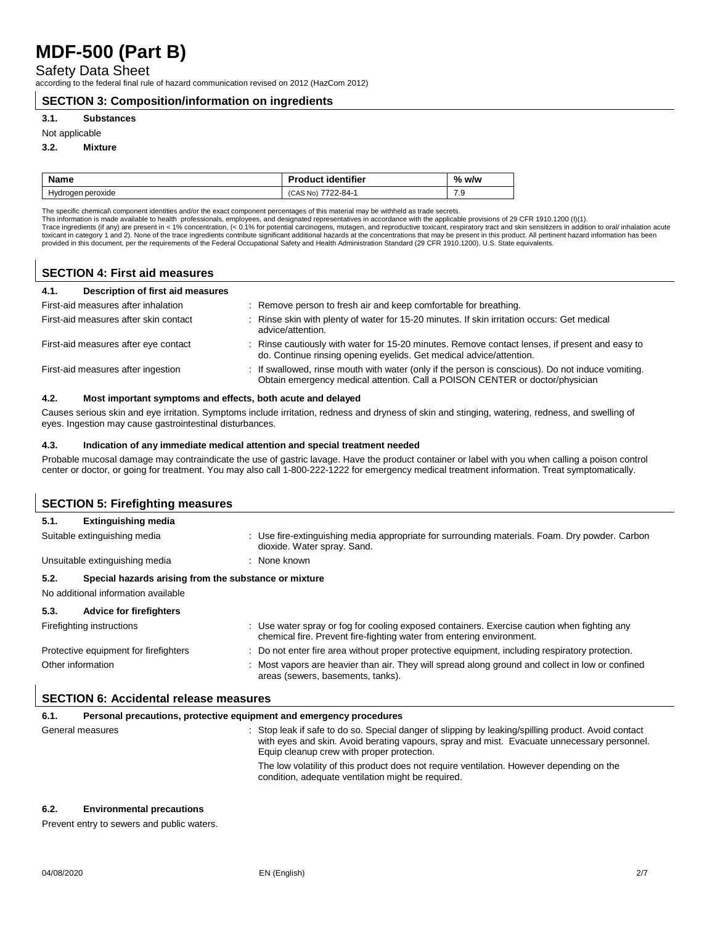Safety Data Sheet

according to the federal final rule of hazard communication revised on 2012 (HazCom 2012)

### **SECTION 3: Composition/information on ingredients**

### **3.1. Substances**

### Not applicable

#### **3.2. Mixture**

| <b>Name</b>       | <b>Product identifier</b> | % w/w |
|-------------------|---------------------------|-------|
| Hydrogen peroxide | 7722-84-1<br>(CAS No)     | 7.9   |

The specific chemical\ component identities and/or the exact component percentages of this material may be withheld as trade secrets.<br>This information is made available to health professionals, employees, and designated re provided in this document, per the requirements of the Federal Occupational Safety and Health Administration Standard (29 CFR 1910.1200), U.S. State equivalents.

### **SECTION 4: First aid measures**

| Description of first aid measures<br>4.1. |                                                                                                                                                                                   |
|-------------------------------------------|-----------------------------------------------------------------------------------------------------------------------------------------------------------------------------------|
| First-aid measures after inhalation       | : Remove person to fresh air and keep comfortable for breathing.                                                                                                                  |
| First-aid measures after skin contact     | : Rinse skin with plenty of water for 15-20 minutes. If skin irritation occurs: Get medical<br>advice/attention.                                                                  |
| First-aid measures after eye contact      | : Rinse cautiously with water for 15-20 minutes. Remove contact lenses, if present and easy to<br>do. Continue rinsing opening eyelids. Get medical advice/attention.             |
| First-aid measures after ingestion        | : If swallowed, rinse mouth with water (only if the person is conscious). Do not induce vomiting.<br>Obtain emergency medical attention. Call a POISON CENTER or doctor/physician |

### **4.2. Most important symptoms and effects, both acute and delayed**

Causes serious skin and eye irritation. Symptoms include irritation, redness and dryness of skin and stinging, watering, redness, and swelling of eyes. Ingestion may cause gastrointestinal disturbances.

#### **4.3. Indication of any immediate medical attention and special treatment needed**

Probable mucosal damage may contraindicate the use of gastric lavage. Have the product container or label with you when calling a poison control center or doctor, or going for treatment. You may also call 1-800-222-1222 for emergency medical treatment information. Treat symptomatically.

| <b>SECTION 5: Firefighting measures</b>                                                              |                                                                                                                                                                      |  |
|------------------------------------------------------------------------------------------------------|----------------------------------------------------------------------------------------------------------------------------------------------------------------------|--|
| <b>Extinguishing media</b><br>5.1.                                                                   |                                                                                                                                                                      |  |
| Suitable extinguishing media                                                                         | : Use fire-extinguishing media appropriate for surrounding materials. Foam. Dry powder. Carbon<br>dioxide. Water spray. Sand.                                        |  |
| Unsuitable extinguishing media                                                                       | : None known                                                                                                                                                         |  |
| Special hazards arising from the substance or mixture<br>5.2.<br>No additional information available |                                                                                                                                                                      |  |
| 5.3.<br><b>Advice for firefighters</b>                                                               |                                                                                                                                                                      |  |
| Firefighting instructions                                                                            | : Use water spray or fog for cooling exposed containers. Exercise caution when fighting any<br>chemical fire. Prevent fire-fighting water from entering environment. |  |
| Protective equipment for firefighters                                                                | : Do not enter fire area without proper protective equipment, including respiratory protection.                                                                      |  |
| Other information                                                                                    | Most vapors are heavier than air. They will spread along ground and collect in low or confined<br>areas (sewers, basements, tanks).                                  |  |
| <b>SECTION 6: Accidental release measures</b>                                                        |                                                                                                                                                                      |  |

| 6.1. | Personal precautions, protective equipment and emergency procedures |                                                                                                                                                                                                                                                  |  |
|------|---------------------------------------------------------------------|--------------------------------------------------------------------------------------------------------------------------------------------------------------------------------------------------------------------------------------------------|--|
|      | General measures                                                    | : Stop leak if safe to do so. Special danger of slipping by leaking/spilling product. Avoid contact<br>with eyes and skin. Avoid berating vapours, spray and mist. Evacuate unnecessary personnel.<br>Equip cleanup crew with proper protection. |  |
|      |                                                                     | The low volatility of this product does not require ventilation. However depending on the<br>condition, adequate ventilation might be required.                                                                                                  |  |

#### **6.2. Environmental precautions**

Prevent entry to sewers and public waters.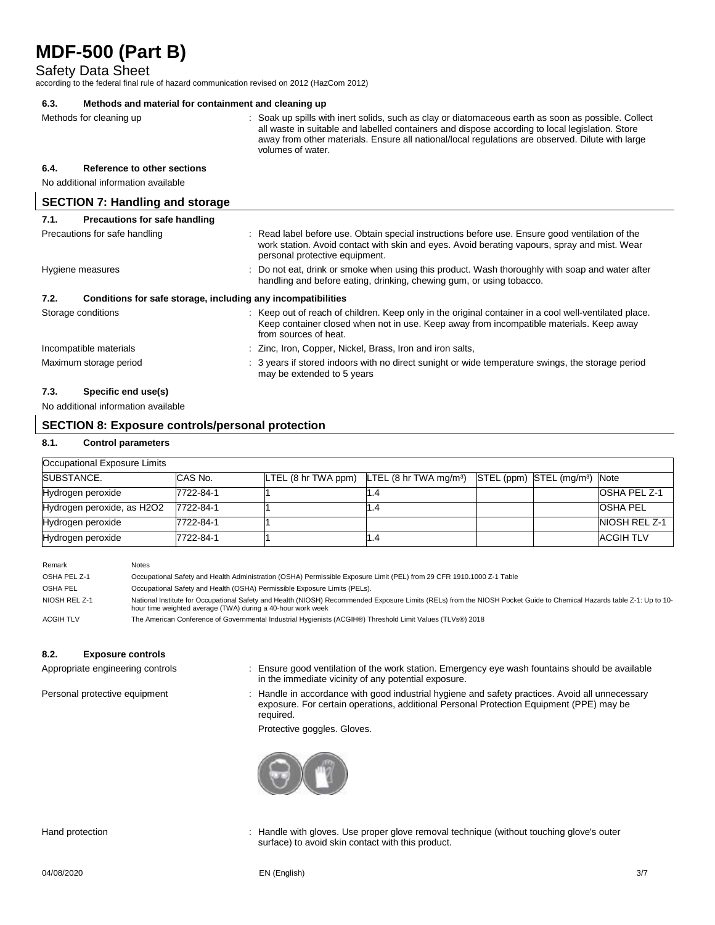Safety Data Sheet

according to the federal final rule of hazard communication revised on 2012 (HazCom 2012)

### **6.3. Methods and material for containment and cleaning up**

Methods for cleaning up example of the spills with inert solids, such as clay or diatomaceous earth as soon as possible. Collect all waste in suitable and labelled containers and dispose according to local legislation. Store away from other materials. Ensure all national/local regulations are observed. Dilute with large volumes of water. **6.4. Reference to other sections** No additional information available **SECTION 7: Handling and storage 7.1. Precautions for safe handling**

| .                                                                    |                                                                                                                                                                                                                                   |
|----------------------------------------------------------------------|-----------------------------------------------------------------------------------------------------------------------------------------------------------------------------------------------------------------------------------|
| Precautions for safe handling                                        | : Read label before use. Obtain special instructions before use. Ensure good ventilation of the<br>work station. Avoid contact with skin and eyes. Avoid berating vapours, spray and mist. Wear<br>personal protective equipment. |
| Hygiene measures                                                     | : Do not eat, drink or smoke when using this product. Wash thoroughly with soap and water after<br>handling and before eating, drinking, chewing gum, or using tobacco.                                                           |
| Conditions for safe storage, including any incompatibilities<br>7.2. |                                                                                                                                                                                                                                   |
| Storage conditions                                                   | : Keep out of reach of children. Keep only in the original container in a cool well-ventilated place.<br>Keep container closed when not in use. Keep away from incompatible materials. Keep away<br>from sources of heat.         |
| Incompatible materials                                               | : Zinc, Iron, Copper, Nickel, Brass, Iron and iron salts,                                                                                                                                                                         |
| Maximum storage period                                               | : 3 years if stored indoors with no direct sunight or wide temperature swings, the storage period<br>may be extended to 5 years                                                                                                   |

### **7.3. Specific end use(s)**

No additional information available

### **SECTION 8: Exposure controls/personal protection**

### **8.1. Control parameters**

| Occupational Exposure Limits |           |                                                          |                                           |                     |
|------------------------------|-----------|----------------------------------------------------------|-------------------------------------------|---------------------|
| <b>SUBSTANCE.</b>            | CAS No.   | LTEL (8 hr TWA ppm) $LTEL$ (8 hr TWA mg/m <sup>3</sup> ) | STEL (ppm) STEL (mg/m <sup>3</sup> ) Note |                     |
| Hydrogen peroxide            | 7722-84-1 |                                                          |                                           | <b>OSHA PEL Z-1</b> |
| Hydrogen peroxide, as H2O2   | 7722-84-1 |                                                          |                                           | <b>OSHA PEL</b>     |
| Hydrogen peroxide            | 7722-84-1 |                                                          |                                           | NIOSH REL Z-1       |
| Hydrogen peroxide            | 7722-84-1 |                                                          |                                           | ACGIH TLV           |

| Remark           | Notes                                                                                                                                                                                                                                |
|------------------|--------------------------------------------------------------------------------------------------------------------------------------------------------------------------------------------------------------------------------------|
| OSHA PEL Z-1     | Occupational Safety and Health Administration (OSHA) Permissible Exposure Limit (PEL) from 29 CFR 1910.1000 Z-1 Table                                                                                                                |
| OSHA PEL         | Occupational Safety and Health (OSHA) Permissible Exposure Limits (PELs).                                                                                                                                                            |
| NIOSH REL Z-1    | National Institute for Occupational Safety and Health (NIOSH) Recommended Exposure Limits (RELs) from the NIOSH Pocket Guide to Chemical Hazards table Z-1: Up to 10-<br>hour time weighted average (TWA) during a 40-hour work week |
| <b>ACGIH TLV</b> | The American Conference of Governmental Industrial Hygienists (ACGIH®) Threshold Limit Values (TLVs®) 2018                                                                                                                           |

### **8.2. Exposure controls**

- Appropriate engineering controls : Ensure good ventilation of the work station. Emergency eye wash fountains should be available in the immediate vicinity of any potential exposure.
- Personal protective equipment : Handle in accordance with good industrial hygiene and safety practices. Avoid all unnecessary exposure. For certain operations, additional Personal Protection Equipment (PPE) may be required.

Protective goggles. Gloves.



Hand protection : Handle with gloves. Use proper glove removal technique (without touching glove's outer surface) to avoid skin contact with this product.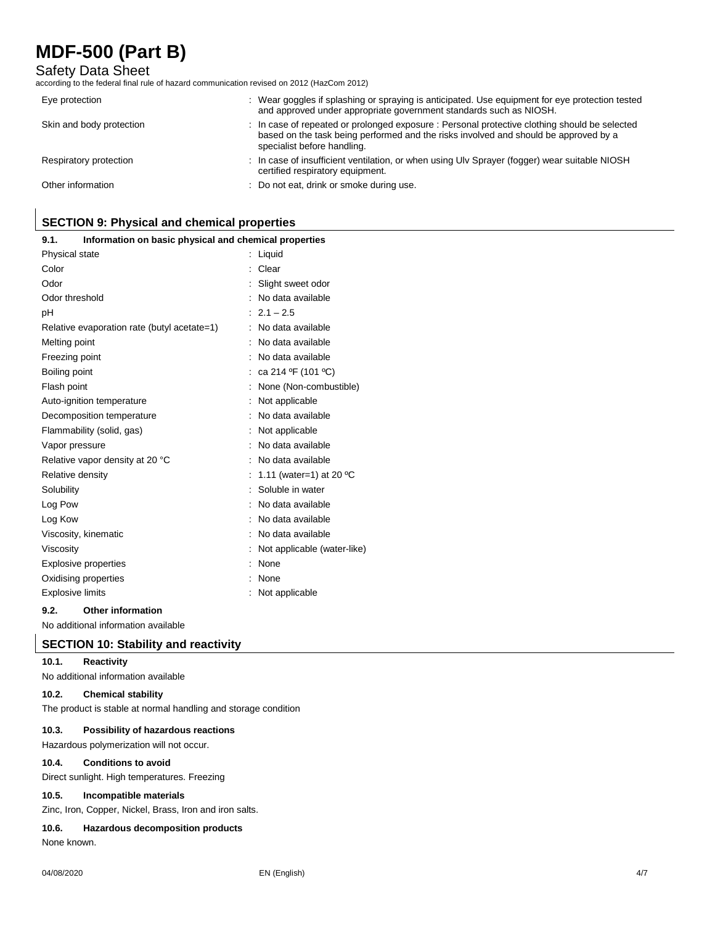### Safety Data Sheet

according to the federal final rule of hazard communication revised on 2012 (HazCom 2012)

| Eye protection           | : Wear goggles if splashing or spraying is anticipated. Use equipment for eye protection tested<br>and approved under appropriate government standards such as NIOSH.                                                |
|--------------------------|----------------------------------------------------------------------------------------------------------------------------------------------------------------------------------------------------------------------|
| Skin and body protection | : In case of repeated or prolonged exposure : Personal protective clothing should be selected<br>based on the task being performed and the risks involved and should be approved by a<br>specialist before handling. |
| Respiratory protection   | : In case of insufficient ventilation, or when using Uly Sprayer (fogger) wear suitable NIOSH<br>certified respiratory equipment.                                                                                    |
| Other information        | : Do not eat, drink or smoke during use.                                                                                                                                                                             |

## **SECTION 9: Physical and chemical properties**

| 9.1.<br>Information on basic physical and chemical properties |                             |
|---------------------------------------------------------------|-----------------------------|
| Physical state                                                | : Liquid                    |
| Color                                                         | Clear                       |
| Odor                                                          | Slight sweet odor           |
| Odor threshold                                                | No data available           |
| рH                                                            | $: 2.1 - 2.5$               |
| Relative evaporation rate (butyl acetate=1)                   | : No data available         |
| Melting point                                                 | No data available           |
| Freezing point                                                | No data available           |
| Boiling point                                                 | : ca 214 °F (101 °C)        |
| Flash point                                                   | None (Non-combustible)      |
| Auto-ignition temperature                                     | Not applicable              |
| Decomposition temperature                                     | No data available           |
| Flammability (solid, gas)                                     | Not applicable              |
| Vapor pressure                                                | : No data available         |
| Relative vapor density at 20 °C                               | : No data available         |
| Relative density                                              | : 1.11 (water=1) at 20 °C   |
| Solubility                                                    | : Soluble in water          |
| Log Pow                                                       | No data available           |
| Log Kow                                                       | No data available           |
| Viscosity, kinematic                                          | No data available           |
| Viscosity                                                     | Not applicable (water-like) |
| <b>Explosive properties</b>                                   | None                        |
| Oxidising properties                                          | None                        |
| <b>Explosive limits</b>                                       | Not applicable              |

### **9.2. Other information**

No additional information available

### **SECTION 10: Stability and reactivity**

### **10.1. Reactivity**

No additional information available

### **10.2. Chemical stability**

The product is stable at normal handling and storage condition

### **10.3. Possibility of hazardous reactions**

Hazardous polymerization will not occur.

### **10.4. Conditions to avoid**

Direct sunlight. High temperatures. Freezing

#### **10.5. Incompatible materials**

Zinc, Iron, Copper, Nickel, Brass, Iron and iron salts.

### **10.6. Hazardous decomposition products**

None known.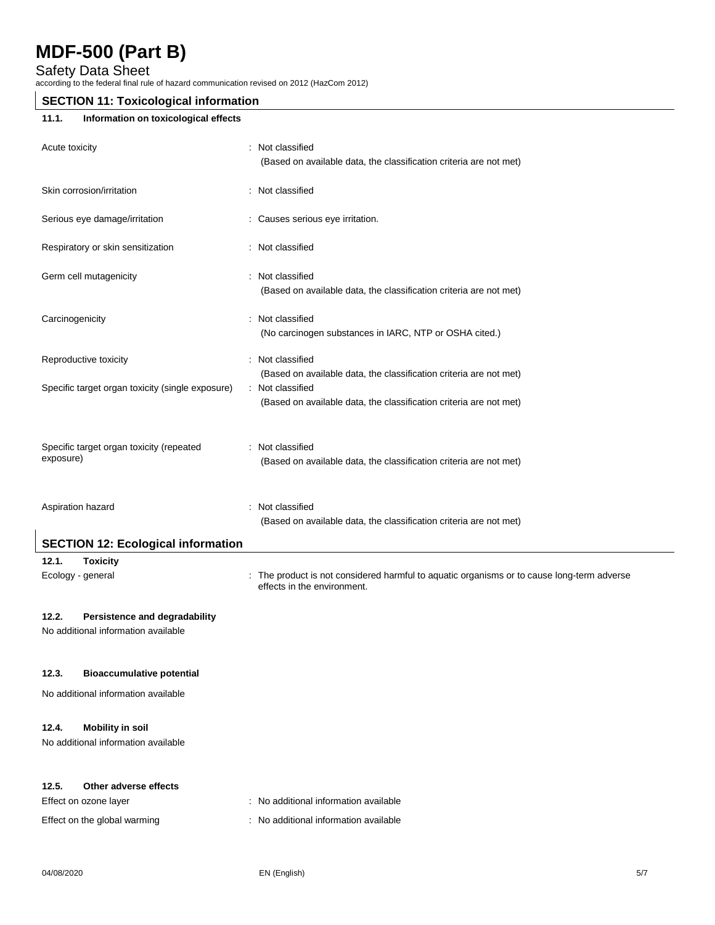Safety Data Sheet

according to the federal final rule of hazard communication revised on 2012 (HazCom 2012)

### **SECTION 11: Toxicological information**

### **11.1. Information on toxicological effects**

| Acute toxicity                                        | : Not classified<br>(Based on available data, the classification criteria are not met)                                                                       |
|-------------------------------------------------------|--------------------------------------------------------------------------------------------------------------------------------------------------------------|
| Skin corrosion/irritation                             | : Not classified                                                                                                                                             |
| Serious eye damage/irritation                         | : Causes serious eye irritation.                                                                                                                             |
| Respiratory or skin sensitization                     | : Not classified                                                                                                                                             |
| Germ cell mutagenicity                                | : Not classified<br>(Based on available data, the classification criteria are not met)                                                                       |
| Carcinogenicity                                       | Not classified<br>(No carcinogen substances in IARC, NTP or OSHA cited.)                                                                                     |
| Reproductive toxicity                                 | Not classified                                                                                                                                               |
| Specific target organ toxicity (single exposure)      | (Based on available data, the classification criteria are not met)<br>: Not classified<br>(Based on available data, the classification criteria are not met) |
| Specific target organ toxicity (repeated<br>exposure) | : Not classified<br>(Based on available data, the classification criteria are not met)                                                                       |
| Aspiration hazard                                     | Not classified<br>(Based on available data, the classification criteria are not met)                                                                         |
| <b>SECTION 12: Ecological information</b>             |                                                                                                                                                              |
| 12.1.<br><b>Toxicity</b><br>Ecology - general         | The product is not considered harmful to aquatic organisms or to cause long-term adverse<br>effects in the environment.                                      |

### **12.2. Persistence and degradability**

No additional information available

### **12.3. Bioaccumulative potential**

No additional information available

### **12.4. Mobility in soil**

No additional information available

### **12.5. Other adverse effects**

Effect on ozone layer **intervalled** : No additional information available

Effect on the global warming : No additional information available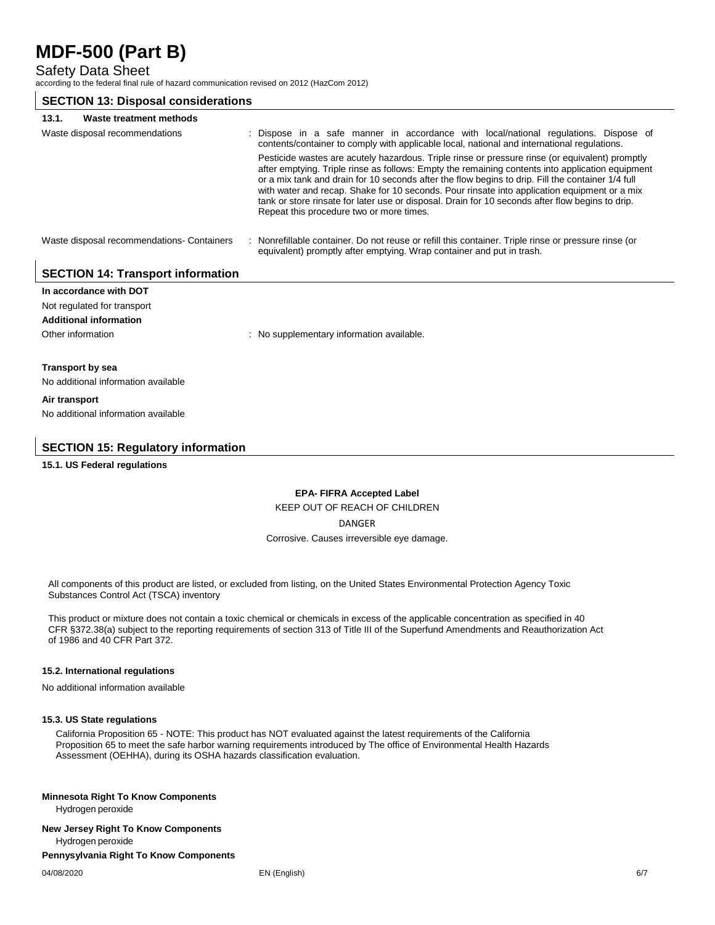Safety Data Sheet

according to the federal final rule of hazard communication revised on 2012 (HazCom 2012)

### **SECTION 13: Disposal considerations**

| Waste treatment methods<br>13.1.            |                                                                                                                                                                                                                                                                                                                                                                                                                                                                                                                                                          |
|---------------------------------------------|----------------------------------------------------------------------------------------------------------------------------------------------------------------------------------------------------------------------------------------------------------------------------------------------------------------------------------------------------------------------------------------------------------------------------------------------------------------------------------------------------------------------------------------------------------|
| Waste disposal recommendations              | : Dispose in a safe manner in accordance with local/national regulations. Dispose of<br>contents/container to comply with applicable local, national and international regulations.                                                                                                                                                                                                                                                                                                                                                                      |
|                                             | Pesticide wastes are acutely hazardous. Triple rinse or pressure rinse (or equivalent) promptly<br>after emptying. Triple rinse as follows: Empty the remaining contents into application equipment<br>or a mix tank and drain for 10 seconds after the flow begins to drip. Fill the container 1/4 full<br>with water and recap. Shake for 10 seconds. Pour rinsate into application equipment or a mix<br>tank or store rinsate for later use or disposal. Drain for 10 seconds after flow begins to drip.<br>Repeat this procedure two or more times. |
| Waste disposal recommendations - Containers | : Nonrefillable container. Do not reuse or refill this container. Triple rinse or pressure rinse (or<br>equivalent) promptly after emptying. Wrap container and put in trash.                                                                                                                                                                                                                                                                                                                                                                            |
| <b>SECTION 14: Transport information</b>    |                                                                                                                                                                                                                                                                                                                                                                                                                                                                                                                                                          |
| In accordance with DOT                      |                                                                                                                                                                                                                                                                                                                                                                                                                                                                                                                                                          |

## Not regulated for transport **Additional information** Other information **contract to the information** : No supplementary information available. **Transport by sea** No additional information available

**Air transport** No additional information available

### **SECTION 15: Regulatory information**

### **15.1. US Federal regulations**

### **EPA- FIFRA Accepted Label**  KEEP OUT OF REACH OF CHILDREN DANGER Corrosive. Causes irreversible eye damage.

All components of this product are listed, or excluded from listing, on the United States Environmental Protection Agency Toxic Substances Control Act (TSCA) inventory

This product or mixture does not contain a toxic chemical or chemicals in excess of the applicable concentration as specified in 40 CFR §372.38(a) subject to the reporting requirements of section 313 of Title III of the Superfund Amendments and Reauthorization Act of 1986 and 40 CFR Part 372.

### **15.2. International regulations**

No additional information available

### **15.3. US State regulations**

California Proposition 65 - NOTE: This product has NOT evaluated against the latest requirements of the California Proposition 65 to meet the safe harbor warning requirements introduced by The office of Environmental Health Hazards Assessment (OEHHA), during its OSHA hazards classification evaluation.

#### **Minnesota Right To Know Components**

Hydrogen peroxide

#### **New Jersey Right To Know Components**

Hydrogen peroxide

### **Pennysylvania Right To Know Components**